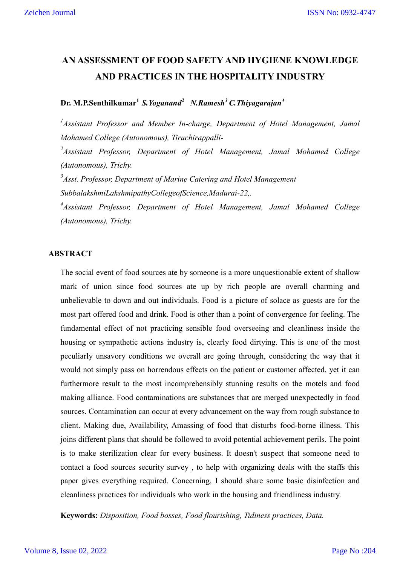# **AN ASSESSMENT OF FOOD SAFETY AND HYGIENE KNOWLEDGE AND PRACTICES IN THE HOSPITALITY INDUSTRY**

## **Dr. M.P.Senthilkumar1** *S.Yoganand2 N.Ramesh3C.Thiyagarajan4*

<sup>1</sup> Assistant Professor and Member In-charge, Department of Hotel Management, Jamal *Mohamed College (Autonomous), Tiruchirappalli-*

*2 Assistant Professor, Department of Hotel Management, Jamal Mohamed College (Autonomous), Trichy.* 

*3 Asst. Professor, Department of Marine Catering and Hotel Management SubbalakshmiLakshmipathyCollegeofScience,Madurai-22,.*

*4 Assistant Professor, Department of Hotel Management, Jamal Mohamed College (Autonomous), Trichy.* 

### **ABSTRACT**

The social event of food sources ate by someone is a more unquestionable extent of shallow mark of union since food sources ate up by rich people are overall charming and unbelievable to down and out individuals. Food is a picture of solace as guests are for the most part offered food and drink. Food is other than a point of convergence for feeling. The fundamental effect of not practicing sensible food overseeing and cleanliness inside the housing or sympathetic actions industry is, clearly food dirtying. This is one of the most peculiarly unsavory conditions we overall are going through, considering the way that it would not simply pass on horrendous effects on the patient or customer affected, yet it can furthermore result to the most incomprehensibly stunning results on the motels and food making alliance. Food contaminations are substances that are merged unexpectedly in food sources. Contamination can occur at every advancement on the way from rough substance to client. Making due, Availability, Amassing of food that disturbs food-borne illness. This joins different plans that should be followed to avoid potential achievement perils. The point is to make sterilization clear for every business. It doesn't suspect that someone need to contact a food sources security survey , to help with organizing deals with the staffs this paper gives everything required. Concerning, I should share some basic disinfection and cleanliness practices for individuals who work in the housing and friendliness industry.

**Keywords:** *Disposition, Food bosses, Food flourishing, Tidiness practices, Data.*

#### Volume 8, Issue 02, 2022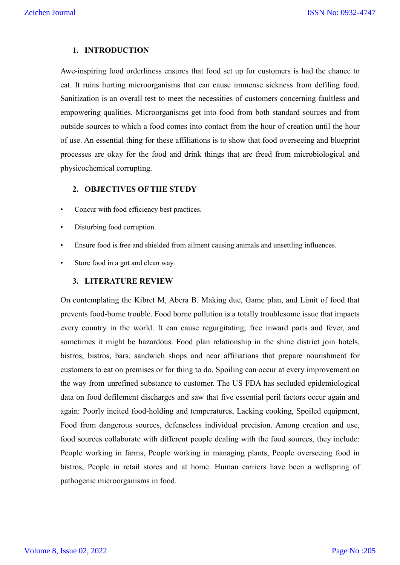## **1. INTRODUCTION**

Awe-inspiring food orderliness ensures that food set up for customers is had the chance to eat. It ruins hurting microorganisms that can cause immense sickness from defiling food. Sanitization is an overall test to meet the necessities of customers concerning faultless and empowering qualities. Microorganisms get into food from both standard sources and from outside sources to which a food comes into contact from the hour of creation until the hour of use. An essential thing for these affiliations is to show that food overseeing and blueprint processes are okay for the food and drink things that are freed from microbiological and physicochemical corrupting.

#### **2. OBJECTIVES OF THE STUDY**

- Concur with food efficiency best practices.
- Disturbing food corruption.
- Ensure food is free and shielded from ailment causing animals and unsettling influences.
- Store food in a got and clean way.

#### **3. LITERATURE REVIEW**

On contemplating the Kibret M, Abera B. Making due, Game plan, and Limit of food that prevents food-borne trouble. Food borne pollution is a totally troublesome issue that impacts every country in the world. It can cause regurgitating; free inward parts and fever, and sometimes it might be hazardous. Food plan relationship in the shine district join hotels, bistros, bistros, bars, sandwich shops and near affiliations that prepare nourishment for customers to eat on premises or for thing to do. Spoiling can occur at every improvement on the way from unrefined substance to customer. The US FDA has secluded epidemiological data on food defilement discharges and saw that five essential peril factors occur again and again: Poorly incited food-holding and temperatures, Lacking cooking, Spoiled equipment, Food from dangerous sources, defenseless individual precision. Among creation and use, food sources collaborate with different people dealing with the food sources, they include: People working in farms, People working in managing plants, People overseeing food in bistros, People in retail stores and at home. Human carriers have been a wellspring of pathogenic microorganisms in food.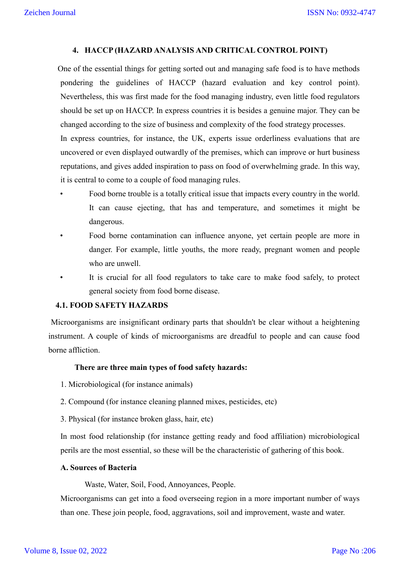## **4. HACCP (HAZARD ANALYSIS AND CRITICAL CONTROL POINT)**

One of the essential things for getting sorted out and managing safe food is to have methods pondering the guidelines of HACCP (hazard evaluation and key control point). Nevertheless, this was first made for the food managing industry, even little food regulators should be set up on HACCP. In express countries it is besides a genuine major. They can be changed according to the size of business and complexity of the food strategy processes. In express countries, for instance, the UK, experts issue orderliness evaluations that are uncovered or even displayed outwardly of the premises, which can improve or hurt business reputations, and gives added inspiration to pass on food of overwhelming grade. In this way, it is central to come to a couple of food managing rules.

- Food borne trouble is a totally critical issue that impacts every country in the world. It can cause ejecting, that has and temperature, and sometimes it might be dangerous.
- Food borne contamination can influence anyone, yet certain people are more in danger. For example, little youths, the more ready, pregnant women and people who are unwell.
- It is crucial for all food regulators to take care to make food safely, to protect general society from food borne disease.

#### **4.1. FOOD SAFETY HAZARDS**

Microorganisms are insignificant ordinary parts that shouldn't be clear without a heightening instrument. A couple of kinds of microorganisms are dreadful to people and can cause food borne affliction.

#### **There are three main types of food safety hazards:**

- 1. Microbiological (for instance animals)
- 2. Compound (for instance cleaning planned mixes, pesticides, etc)
- 3. Physical (for instance broken glass, hair, etc)

In most food relationship (for instance getting ready and food affiliation) microbiological perils are the most essential, so these will be the characteristic of gathering of this book.

#### **A. Sources of Bacteria**

Waste, Water, Soil, Food, Annoyances, People.

Microorganisms can get into a food overseeing region in a more important number of ways than one. These join people, food, aggravations, soil and improvement, waste and water.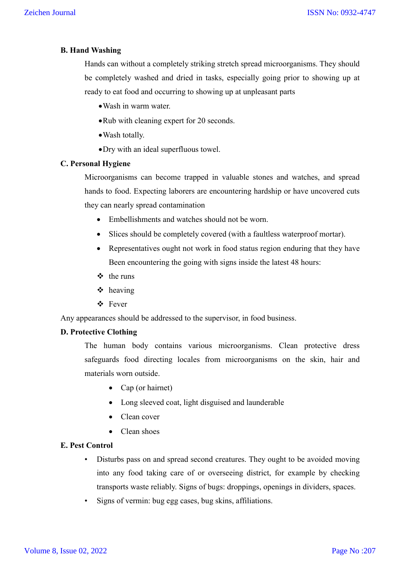## **B. Hand Washing**

Hands can without a completely striking stretch spread microorganisms. They should be completely washed and dried in tasks, especially going prior to showing up at ready to eat food and occurring to showing up at unpleasant parts

- Wash in warm water.
- Rub with cleaning expert for 20 seconds.
- Wash totally.
- Dry with an ideal superfluous towel.

#### **C. Personal Hygiene**

Microorganisms can become trapped in valuable stones and watches, and spread hands to food. Expecting laborers are encountering hardship or have uncovered cuts they can nearly spread contamination

- Embellishments and watches should not be worn.
- Slices should be completely covered (with a faultless waterproof mortar).
- Representatives ought not work in food status region enduring that they have Been encountering the going with signs inside the latest 48 hours:
- $\div$  the runs
- heaving
- Fever

Any appearances should be addressed to the supervisor, in food business.

#### **D. Protective Clothing**

The human body contains various microorganisms. Clean protective dress safeguards food directing locales from microorganisms on the skin, hair and materials worn outside.

- Cap (or hairnet)
- Long sleeved coat, light disguised and launderable
- Clean cover
- Clean shoes

### **E. Pest Control**

- Disturbs pass on and spread second creatures. They ought to be avoided moving into any food taking care of or overseeing district, for example by checking transports waste reliably. Signs of bugs: droppings, openings in dividers, spaces.
- Signs of vermin: bug egg cases, bug skins, affiliations.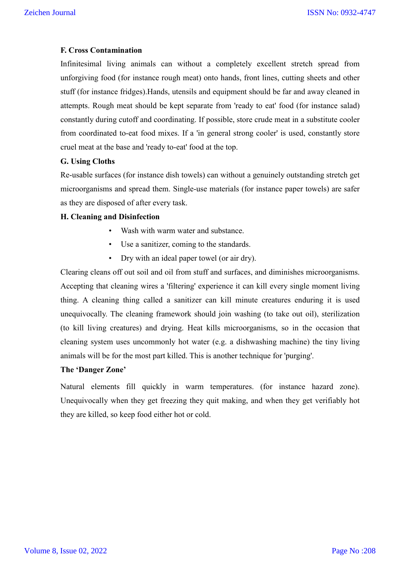### **F. Cross Contamination**

Infinitesimal living animals can without a completely excellent stretch spread from unforgiving food (for instance rough meat) onto hands, front lines, cutting sheets and other stuff (for instance fridges).Hands, utensils and equipment should be far and away cleaned in attempts. Rough meat should be kept separate from 'ready to eat' food (for instance salad) constantly during cutoff and coordinating. If possible, store crude meat in a substitute cooler from coordinated to-eat food mixes. If a 'in general strong cooler' is used, constantly store cruel meat at the base and 'ready to-eat' food at the top.

### **G. Using Cloths**

Re-usable surfaces (for instance dish towels) can without a genuinely outstanding stretch get microorganisms and spread them. Single-use materials (for instance paper towels) are safer as they are disposed of after every task.

## **H. Cleaning and Disinfection**

- Wash with warm water and substance.
- Use a sanitizer, coming to the standards.
- Dry with an ideal paper towel (or air dry).

Clearing cleans off out soil and oil from stuff and surfaces, and diminishes microorganisms. Accepting that cleaning wires a 'filtering' experience it can kill every single moment living thing. A cleaning thing called a sanitizer can kill minute creatures enduring it is used unequivocally. The cleaning framework should join washing (to take out oil), sterilization (to kill living creatures) and drying. Heat kills microorganisms, so in the occasion that cleaning system uses uncommonly hot water (e.g. a dishwashing machine) the tiny living animals will be for the most part killed. This is another technique for 'purging'.

### **The 'Danger Zone'**

Natural elements fill quickly in warm temperatures. (for instance hazard zone). Unequivocally when they get freezing they quit making, and when they get verifiably hot they are killed, so keep food either hot or cold.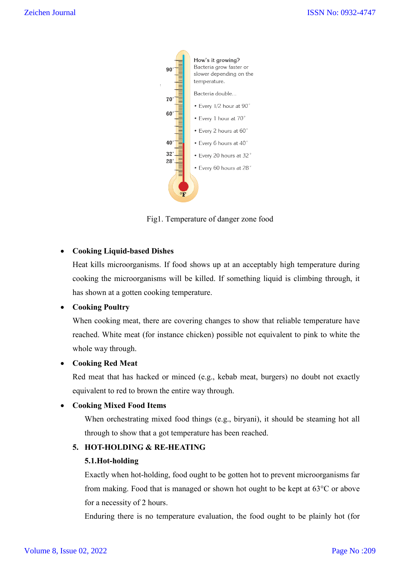

Fig1. Temperature of danger zone food

## **Cooking Liquid-based Dishes based**

Heat kills microorganisms. If food shows up at an acceptably high temperature during cooking the microorganisms will be killed. If something liquid is climbing through, it has shown at a gotten cooking temperature. isms. If food shows up at an acceptably high temperature during<br>anisms will be killed. If something liquid is climbing through, it<br>cooking temperature.<br>there are covering changes to show that reliable temperature have<br>(for

## **Cooking Poultry**

When cooking meat, there are covering changes to show that reliable temperature have reached. White meat (for instance chicken) possible not equivalent to pink to white the whole way through.

### **Cooking Red Meat**

Red meat that has hacked or minced (e.g., kebab meat, burgers) no doubt not exactly equivalent to red to brown the entire way through.

## **Cooking Mixed Food Items**

When orchestrating mixed food things (e.g., biryani), it should be steaming hot all through to show that a got temperature has been reached.

## **5. HOT-HOLDING & RE HOLDING RE-HEATING**

### **5.1.Hot-holding**

Exactly when hot-holding, food ought to be gotten hot to prevent microorganisms far from making. Food that is managed or shown hot ought to be kept at 63°C or above for a necessity of 2 hours.

Enduring there is no temperature evaluation, the food ought to be plainly hot (for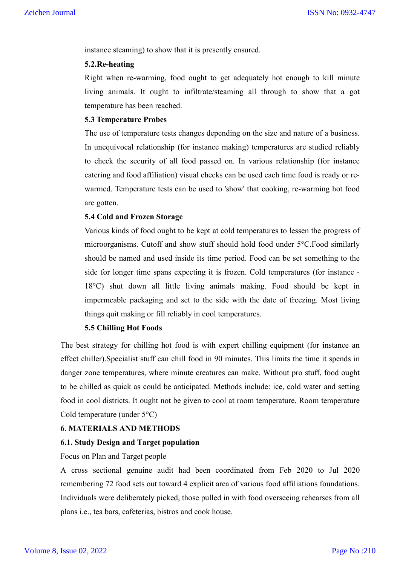instance steaming) to show that it is presently ensured.

#### **5.2.Re-heating**

Right when re-warming, food ought to get adequately hot enough to kill minute living animals. It ought to infiltrate/steaming all through to show that a got temperature has been reached.

#### **5.3 Temperature Probes**

The use of temperature tests changes depending on the size and nature of a business. In unequivocal relationship (for instance making) temperatures are studied reliably to check the security of all food passed on. In various relationship (for instance catering and food affiliation) visual checks can be used each time food is ready or rewarmed. Temperature tests can be used to 'show' that cooking, re-warming hot food are gotten.

#### **5.4 Cold and Frozen Storage**

Various kinds of food ought to be kept at cold temperatures to lessen the progress of microorganisms. Cutoff and show stuff should hold food under 5°C.Food similarly should be named and used inside its time period. Food can be set something to the side for longer time spans expecting it is frozen. Cold temperatures (for instance - 18°C) shut down all little living animals making. Food should be kept in impermeable packaging and set to the side with the date of freezing. Most living things quit making or fill reliably in cool temperatures.

#### **5.5 Chilling Hot Foods**

The best strategy for chilling hot food is with expert chilling equipment (for instance an effect chiller).Specialist stuff can chill food in 90 minutes. This limits the time it spends in danger zone temperatures, where minute creatures can make. Without pro stuff, food ought to be chilled as quick as could be anticipated. Methods include: ice, cold water and setting food in cool districts. It ought not be given to cool at room temperature. Room temperature Cold temperature (under 5°C)

#### **6**. **MATERIALS AND METHODS**

#### **6.1. Study Design and Target population**

Focus on Plan and Target people

A cross sectional genuine audit had been coordinated from Feb 2020 to Jul 2020 remembering 72 food sets out toward 4 explicit area of various food affiliations foundations. Individuals were deliberately picked, those pulled in with food overseeing rehearses from all plans i.e., tea bars, cafeterias, bistros and cook house.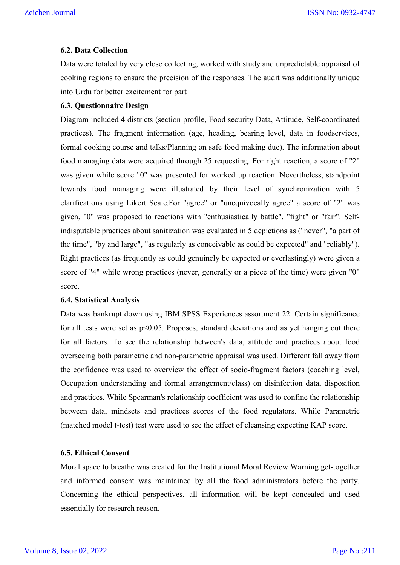#### **6.2. Data Collection**

Data were totaled by very close collecting, worked with study and unpredictable appraisal of cooking regions to ensure the precision of the responses. The audit was additionally unique into Urdu for better excitement for part

#### **6.3. Questionnaire Design**

Diagram included 4 districts (section profile, Food security Data, Attitude, Self-coordinated practices). The fragment information (age, heading, bearing level, data in foodservices, formal cooking course and talks/Planning on safe food making due). The information about food managing data were acquired through 25 requesting. For right reaction, a score of "2" was given while score "0" was presented for worked up reaction. Nevertheless, standpoint towards food managing were illustrated by their level of synchronization with 5 clarifications using Likert Scale.For "agree" or "unequivocally agree" a score of "2" was given, "0" was proposed to reactions with "enthusiastically battle", "fight" or "fair". Selfindisputable practices about sanitization was evaluated in 5 depictions as ("never", "a part of the time", "by and large", "as regularly as conceivable as could be expected" and "reliably"). Right practices (as frequently as could genuinely be expected or everlastingly) were given a score of "4" while wrong practices (never, generally or a piece of the time) were given "0" score.

#### **6.4. Statistical Analysis**

Data was bankrupt down using IBM SPSS Experiences assortment 22. Certain significance for all tests were set as  $p<0.05$ . Proposes, standard deviations and as yet hanging out there for all factors. To see the relationship between's data, attitude and practices about food overseeing both parametric and non-parametric appraisal was used. Different fall away from the confidence was used to overview the effect of socio-fragment factors (coaching level, Occupation understanding and formal arrangement/class) on disinfection data, disposition and practices. While Spearman's relationship coefficient was used to confine the relationship between data, mindsets and practices scores of the food regulators. While Parametric (matched model t-test) test were used to see the effect of cleansing expecting KAP score.

#### **6.5. Ethical Consent**

Moral space to breathe was created for the Institutional Moral Review Warning get-together and informed consent was maintained by all the food administrators before the party. Concerning the ethical perspectives, all information will be kept concealed and used essentially for research reason.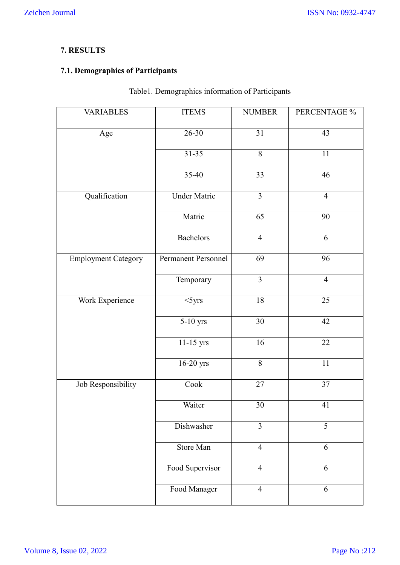## **7. RESULTS**

## **7.1. Demographics of Participants**

## Table1. Demographics information of Participants

| <b>VARIABLES</b>           | <b>ITEMS</b>               | <b>NUMBER</b>   | PERCENTAGE %    |
|----------------------------|----------------------------|-----------------|-----------------|
| Age                        | $26 - 30$                  | $\overline{31}$ | $\overline{43}$ |
|                            | $31 - 35$                  | 8               | $11\,$          |
|                            | 35-40                      | 33              | 46              |
| Qualification              | <b>Under Matric</b>        | $\overline{3}$  | $\overline{4}$  |
|                            | Matric                     | $\overline{65}$ | $\overline{90}$ |
|                            | <b>Bachelors</b>           | $\overline{4}$  | 6               |
| <b>Employment Category</b> | <b>Permanent Personnel</b> | 69              | 96              |
|                            | Temporary                  | $\overline{3}$  | $\overline{4}$  |
| Work Experience            | 5yrs                       | 18              | $\overline{25}$ |
|                            | 5-10 yrs                   | 30              | 42              |
|                            | $11-15$ yrs                | 16              | 22              |
|                            | 16-20 yrs                  | $\overline{8}$  | $11\,$          |
| Job Responsibility         | Cook                       | 27              | $\overline{37}$ |
|                            | Waiter                     | 30              | 41              |
|                            | Dishwasher                 | $\overline{3}$  | $\overline{5}$  |
|                            | Store Man                  | $\overline{4}$  | 6               |
|                            | Food Supervisor            | $\overline{4}$  | 6               |
|                            | Food Manager               | $\overline{4}$  | 6               |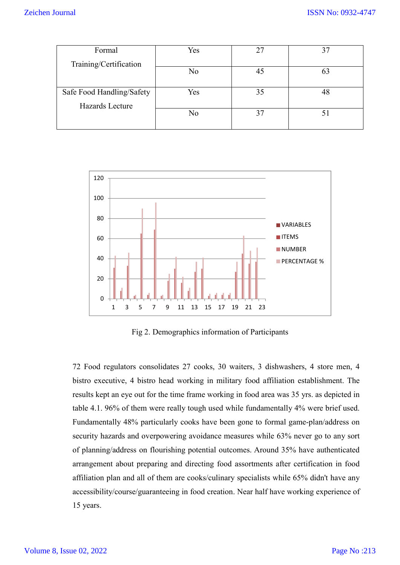| Formal                    | Yes | 27 |  |
|---------------------------|-----|----|--|
| Training/Certification    |     |    |  |
|                           | No  | 45 |  |
|                           |     |    |  |
| Safe Food Handling/Safety | Yes | 35 |  |
| Hazards Lecture           |     |    |  |
|                           | No  |    |  |
|                           |     |    |  |



Fig 2. Demographics information of Participants

72 Food regulators consolidates 27 cooks, 30 waiters, 3 dishwashers, 4 store men, 4 bistro executive, 4 bistro head working in military food affiliation establishment. The results kept an eye out for the time frame working in food area was 35 yrs. as depicted in table 4.1. 96% of them were really tough used while fundamentally 4% were brief used. Fundamentally 48% particularly cooks have been gone to formal game-plan/address on security hazards and overpowering avoidance measures while 63% never go to any sort of planning/address on flourishing potential outcomes. Around 35% have authenticated arrangement about preparing and directing food assortments after certification in food affiliation plan and all of them are cooks/culinary specialists while 65% didn't have any accessibility/course/guaranteeing in food creation. Near half have working experience of 15 years.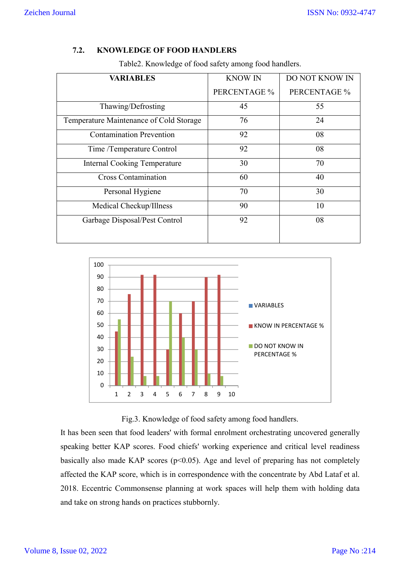## **7.2. KNOWLEDGE OF FOOD HANDLERS**

| <b>VARIABLES</b>                        | <b>KNOW IN</b> | DO NOT KNOW IN |
|-----------------------------------------|----------------|----------------|
|                                         | PERCENTAGE %   | PERCENTAGE %   |
| Thawing/Defrosting                      | 45             | 55             |
| Temperature Maintenance of Cold Storage | 76             | 24             |
| <b>Contamination Prevention</b>         | 92             | 08             |
| Time /Temperature Control               | 92             | 08             |
| <b>Internal Cooking Temperature</b>     | 30             | 70             |
| <b>Cross Contamination</b>              | 60             | 40             |
| Personal Hygiene                        | 70             | 30             |
| Medical Checkup/Illness                 | 90             | 10             |
| Garbage Disposal/Pest Control           | 92             | 08             |
|                                         |                |                |

Table2. Knowledge of food safety among food handlers.



Fig.3. Knowledge of food safety among food handlers.

It has been seen that food leaders' with formal enrolment orchestrating uncovered generally speaking better KAP scores. Food chiefs' working experience and critical level readiness basically also made KAP scores ( $p<0.05$ ). Age and level of preparing has not completely affected the KAP score, which is in correspondence with the concentrate by Abd Lataf et al. 2018. Eccentric Commonsense planning at work spaces will help them with holding data and take on strong hands on practices stubbornly.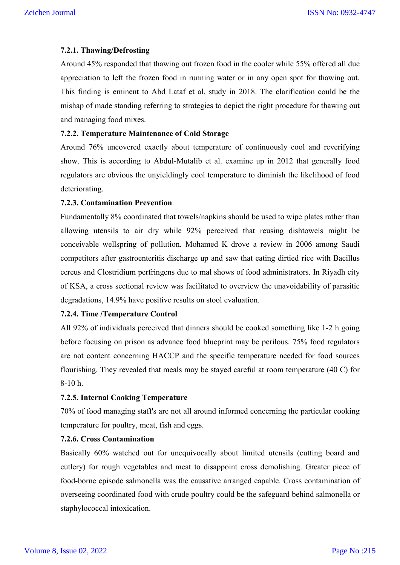## **7.2.1. Thawing/Defrosting**

Around 45% responded that thawing out frozen food in the cooler while 55% offered all due appreciation to left the frozen food in running water or in any open spot for thawing out. This finding is eminent to Abd Lataf et al. study in 2018. The clarification could be the mishap of made standing referring to strategies to depict the right procedure for thawing out and managing food mixes.

### **7.2.2. Temperature Maintenance of Cold Storage**

Around 76% uncovered exactly about temperature of continuously cool and reverifying show. This is according to Abdul-Mutalib et al. examine up in 2012 that generally food regulators are obvious the unyieldingly cool temperature to diminish the likelihood of food deteriorating.

#### **7.2.3. Contamination Prevention**

Fundamentally 8% coordinated that towels/napkins should be used to wipe plates rather than allowing utensils to air dry while 92% perceived that reusing dishtowels might be conceivable wellspring of pollution. Mohamed K drove a review in 2006 among Saudi competitors after gastroenteritis discharge up and saw that eating dirtied rice with Bacillus cereus and Clostridium perfringens due to mal shows of food administrators. In Riyadh city of KSA, a cross sectional review was facilitated to overview the unavoidability of parasitic degradations, 14.9% have positive results on stool evaluation.

#### **7.2.4. Time /Temperature Control**

All 92% of individuals perceived that dinners should be cooked something like 1-2 h going before focusing on prison as advance food blueprint may be perilous. 75% food regulators are not content concerning HACCP and the specific temperature needed for food sources flourishing. They revealed that meals may be stayed careful at room temperature (40 C) for 8-10 h.

### **7.2.5. Internal Cooking Temperature**

70% of food managing staff's are not all around informed concerning the particular cooking temperature for poultry, meat, fish and eggs.

## **7.2.6. Cross Contamination**

Basically 60% watched out for unequivocally about limited utensils (cutting board and cutlery) for rough vegetables and meat to disappoint cross demolishing. Greater piece of food-borne episode salmonella was the causative arranged capable. Cross contamination of overseeing coordinated food with crude poultry could be the safeguard behind salmonella or staphylococcal intoxication.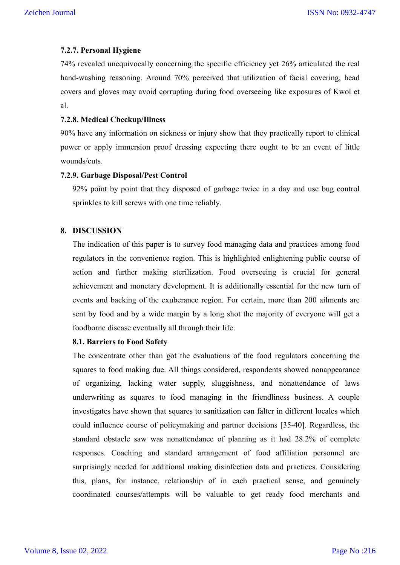#### **7.2.7. Personal Hygiene**

74% revealed unequivocally concerning the specific efficiency yet 26% articulated the real hand-washing reasoning. Around 70% perceived that utilization of facial covering, head covers and gloves may avoid corrupting during food overseeing like exposures of Kwol et al.

#### **7.2.8. Medical Checkup/Illness**

90% have any information on sickness or injury show that they practically report to clinical power or apply immersion proof dressing expecting there ought to be an event of little wounds/cuts.

#### **7.2.9. Garbage Disposal/Pest Control**

92% point by point that they disposed of garbage twice in a day and use bug control sprinkles to kill screws with one time reliably.

#### **8. DISCUSSION**

The indication of this paper is to survey food managing data and practices among food regulators in the convenience region. This is highlighted enlightening public course of action and further making sterilization. Food overseeing is crucial for general achievement and monetary development. It is additionally essential for the new turn of events and backing of the exuberance region. For certain, more than 200 ailments are sent by food and by a wide margin by a long shot the majority of everyone will get a foodborne disease eventually all through their life.

### **8.1. Barriers to Food Safety**

The concentrate other than got the evaluations of the food regulators concerning the squares to food making due. All things considered, respondents showed nonappearance of organizing, lacking water supply, sluggishness, and nonattendance of laws underwriting as squares to food managing in the friendliness business. A couple investigates have shown that squares to sanitization can falter in different locales which could influence course of policymaking and partner decisions [35-40]. Regardless, the standard obstacle saw was nonattendance of planning as it had 28.2% of complete responses. Coaching and standard arrangement of food affiliation personnel are surprisingly needed for additional making disinfection data and practices. Considering this, plans, for instance, relationship of in each practical sense, and genuinely coordinated courses/attempts will be valuable to get ready food merchants and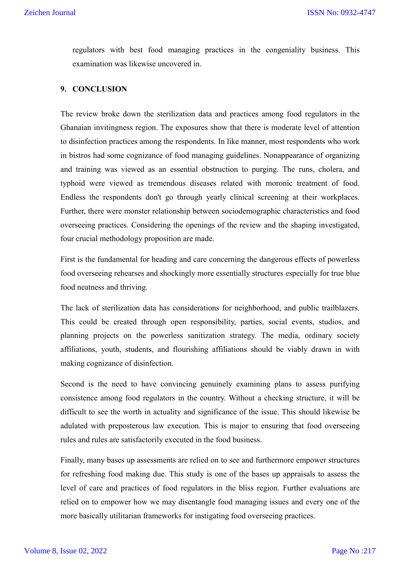regulators with best food managing practices in the congeniality business. This examination was likewise uncovered in.

### **9. CONCLUSION**

The review broke down the sterilization data and practices among food regulators in the Ghanaian invitingness region. The exposures show that there is moderate level of attention to disinfection practices among the respondents. In like manner, most respondents who work in bistros had some cognizance of food managing guidelines. Nonappearance of organizing and training was viewed as an essential obstruction to purging. The runs, cholera, and typhoid were viewed as tremendous diseases related with moronic treatment of food. Endless the respondents don't go through yearly clinical screening at their workplaces. Further, there were monster relationship between sociodemographic characteristics and food overseeing practices. Considering the openings of the review and the shaping investigated, four crucial methodology proposition are made.

First is the fundamental for heading and care concerning the dangerous effects of powerless food overseeing rehearses and shockingly more essentially structures especially for true blue food neatness and thriving.

The lack of sterilization data has considerations for neighborhood, and public trailblazers. This could be created through open responsibility, parties, social events, studios, and planning projects on the powerless sanitization strategy. The media, ordinary society affiliations, youth, students, and flourishing affiliations should be viably drawn in with making cognizance of disinfection.

Second is the need to have convincing genuinely examining plans to assess purifying consistence among food regulators in the country. Without a checking structure, it will be difficult to see the worth in actuality and significance of the issue. This should likewise be adulated with preposterous law execution. This is major to ensuring that food overseeing rules and rules are satisfactorily executed in the food business.

Finally, many bases up assessments are relied on to see and furthermore empower structures for refreshing food making due. This study is one of the bases up appraisals to assess the level of care and practices of food regulators in the bliss region. Further evaluations are relied on to empower how we may disentangle food managing issues and every one of the more basically utilitarian frameworks for instigating food overseeing practices.